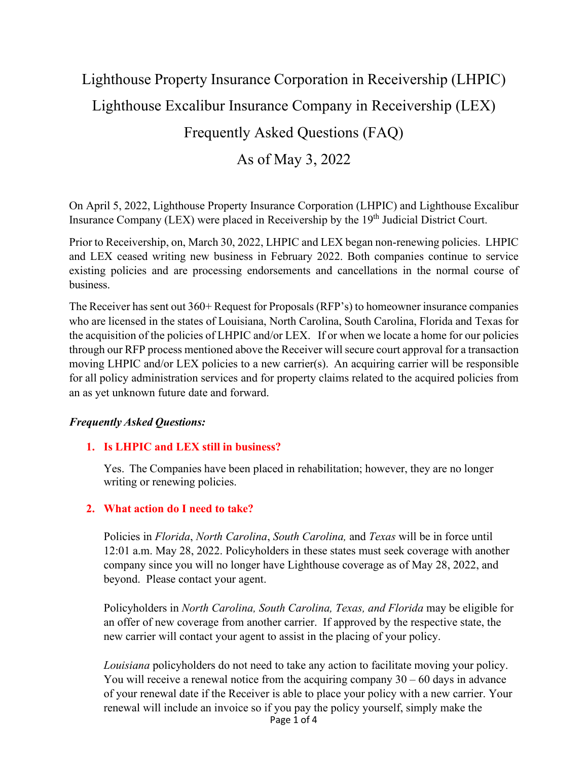# Lighthouse Property Insurance Corporation in Receivership (LHPIC) Lighthouse Excalibur Insurance Company in Receivership (LEX) Frequently Asked Questions (FAQ)

## As of May 3, 2022

On April 5, 2022, Lighthouse Property Insurance Corporation (LHPIC) and Lighthouse Excalibur Insurance Company (LEX) were placed in Receivership by the 19<sup>th</sup> Judicial District Court.

Prior to Receivership, on, March 30, 2022, LHPIC and LEX began non-renewing policies. LHPIC and LEX ceased writing new business in February 2022. Both companies continue to service existing policies and are processing endorsements and cancellations in the normal course of business.

The Receiver has sent out 360+ Request for Proposals (RFP's) to homeowner insurance companies who are licensed in the states of Louisiana, North Carolina, South Carolina, Florida and Texas for the acquisition of the policies of LHPIC and/or LEX. If or when we locate a home for our policies through our RFP process mentioned above the Receiver will secure court approval for a transaction moving LHPIC and/or LEX policies to a new carrier(s). An acquiring carrier will be responsible for all policy administration services and for property claims related to the acquired policies from an as yet unknown future date and forward.

## *Frequently Asked Questions:*

## **1. Is LHPIC and LEX still in business?**

Yes. The Companies have been placed in rehabilitation; however, they are no longer writing or renewing policies.

## **2. What action do I need to take?**

Policies in *Florida*, *North Carolina*, *South Carolina,* and *Texas* will be in force until 12:01 a.m. May 28, 2022. Policyholders in these states must seek coverage with another company since you will no longer have Lighthouse coverage as of May 28, 2022, and beyond. Please contact your agent.

Policyholders in *North Carolina, South Carolina, Texas, and Florida* may be eligible for an offer of new coverage from another carrier. If approved by the respective state, the new carrier will contact your agent to assist in the placing of your policy.

Page 1 of 4 *Louisiana* policyholders do not need to take any action to facilitate moving your policy. You will receive a renewal notice from the acquiring company  $30 - 60$  days in advance of your renewal date if the Receiver is able to place your policy with a new carrier. Your renewal will include an invoice so if you pay the policy yourself, simply make the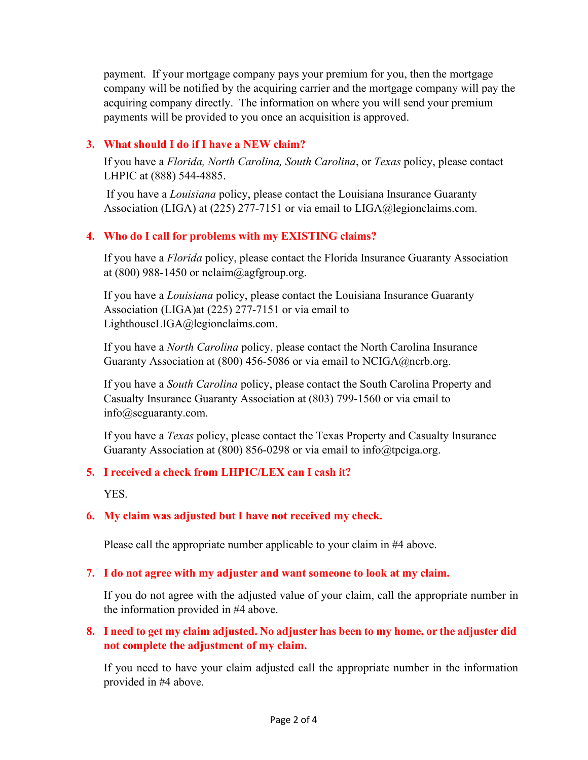payment. If your mortgage company pays your premium for you, then the mortgage company will be notified by the acquiring carrier and the mortgage company will pay the acquiring company directly. The information on where you will send your premium payments will be provided to you once an acquisition is approved.

## **3. What should I do if I have a NEW claim?**

If you have a *Florida, North Carolina, South Carolina*, or *Texas* policy, please contact LHPIC at (888) 544-4885.

If you have a *Louisiana* policy, please contact the Louisiana Insurance Guaranty Association (LIGA) at (225) 277-7151 or via email to LIGA@legionclaims.com.

## **4. Who do I call for problems with my EXISTING claims?**

If you have a *Florida* policy, please contact the Florida Insurance Guaranty Association at  $(800)$  988-1450 or nclaim@agfgroup.org.

If you have a *Louisiana* policy, please contact the Louisiana Insurance Guaranty Association (LIGA)at (225) 277-7151 or via email to LighthouseLIGA@legionclaims.com.

If you have a *North Carolina* policy, please contact the North Carolina Insurance Guaranty Association at (800) 456-5086 or via email to NCIGA@ncrb.org.

If you have a *South Carolina* policy, please contact the South Carolina Property and Casualty Insurance Guaranty Association at (803) 799-1560 or via email to info@scguaranty.com.

If you have a *Texas* policy, please contact the Texas Property and Casualty Insurance Guaranty Association at (800) 856-0298 or via email to info@tpciga.org.

## **5. I received a check from LHPIC/LEX can I cash it?**

YES.

## **6. My claim was adjusted but I have not received my check.**

Please call the appropriate number applicable to your claim in #4 above.

## **7. I do not agree with my adjuster and want someone to look at my claim.**

If you do not agree with the adjusted value of your claim, call the appropriate number in the information provided in #4 above.

## **8. I need to get my claim adjusted. No adjuster has been to my home, or the adjuster did not complete the adjustment of my claim.**

If you need to have your claim adjusted call the appropriate number in the information provided in #4 above.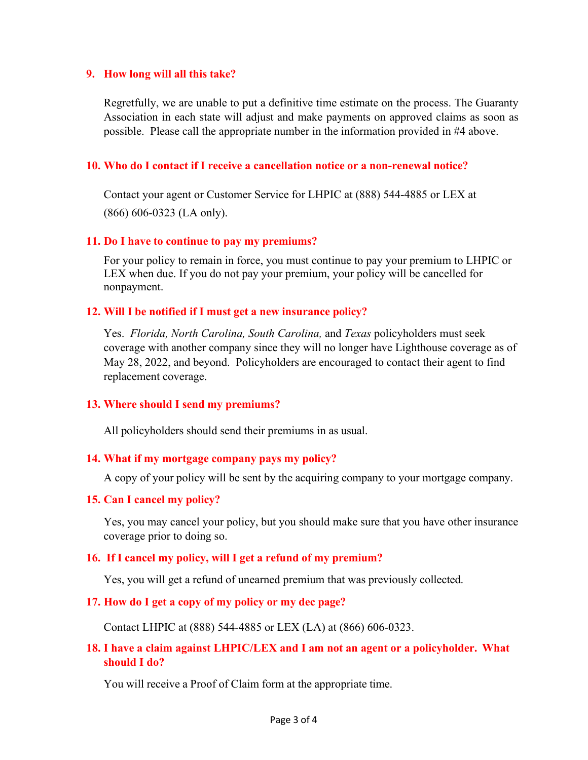#### **9. How long will all this take?**

Regretfully, we are unable to put a definitive time estimate on the process. The Guaranty Association in each state will adjust and make payments on approved claims as soon as possible. Please call the appropriate number in the information provided in #4 above.

#### **10. Who do I contact if I receive a cancellation notice or a non-renewal notice?**

Contact your agent or Customer Service for LHPIC at (888) 544-4885 or LEX at (866) 606-0323 (LA only).

#### **11. Do I have to continue to pay my premiums?**

For your policy to remain in force, you must continue to pay your premium to LHPIC or LEX when due. If you do not pay your premium, your policy will be cancelled for nonpayment.

#### **12. Will I be notified if I must get a new insurance policy?**

Yes. *Florida, North Carolina, South Carolina,* and *Texas* policyholders must seek coverage with another company since they will no longer have Lighthouse coverage as of May 28, 2022, and beyond. Policyholders are encouraged to contact their agent to find replacement coverage.

#### **13. Where should I send my premiums?**

All policyholders should send their premiums in as usual.

## **14. What if my mortgage company pays my policy?**

A copy of your policy will be sent by the acquiring company to your mortgage company.

#### **15. Can I cancel my policy?**

Yes, you may cancel your policy, but you should make sure that you have other insurance coverage prior to doing so.

#### **16. If I cancel my policy, will I get a refund of my premium?**

Yes, you will get a refund of unearned premium that was previously collected.

#### **17. How do I get a copy of my policy or my dec page?**

Contact LHPIC at (888) 544-4885 or LEX (LA) at (866) 606-0323.

## **18. I have a claim against LHPIC/LEX and I am not an agent or a policyholder. What should I do?**

You will receive a Proof of Claim form at the appropriate time.